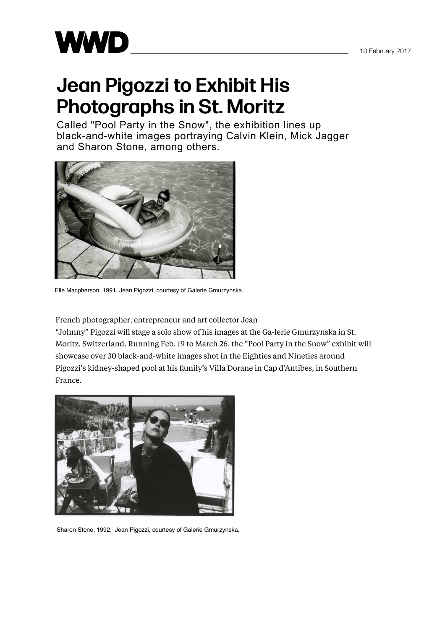

## Jean Pigozzi to Exhibit His Photographs in St. Moritz

Called "Pool Party in the Snow", the exhibition lines up black-and-white images portraying Calvin Klein, Mick Jagger and Sharon Stone, among others.



Elle Macpherson, 1991. Jean Pigozzi, courtesy of Galerie Gmurzynska.

French photographer, entrepreneur and art collector Jean

"Johnny" Pigozzi will stage a solo show of his images at the Ga-lerie Gmurzynska in St. Moritz, Switzerland. Running Feb. 19 to March 26, the "Pool Party in the Snow" exhibit will showcase over 30 black-and-white images shot in the Eighties and Nineties around Pigozzi's kidney-shaped pool at his family's Villa Dorane in Cap d'Antibes, in Southern France.



Sharon Stone, 1992. Jean Pigozzi, courtesy of Galerie Gmurzynska.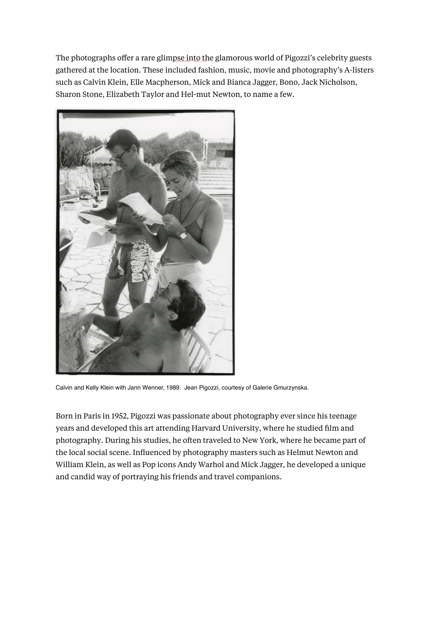The photographs offer a rare glimpse into the glamorous world of Pigozzi's celebrity guests gathered at the location. These included fashion, music, movie and photography's A-listers such as Calvin Klein, Elle Macpherson, Mick and Bianca Jagger, Bono, Jack Nicholson, Sharon Stone, Elizabeth Taylor and Hel-mut Newton, to name a few.



Calvin and Kelly Klein with Jann Wenner, 1989. Jean Pigozzi, courtesy of Galerie Gmurzynska.

Born in Paris in 1952, Pigozzi was passionate about photography ever since his teenage years and developed this art attending Harvard University, where he studied film and photography. During his studies, he often traveled to New York, where he became part of the local social scene. Influenced by photography masters such as Helmut Newton and William Klein, as well as Pop icons Andy Warhol and Mick Jagger, he developed a unique and candid way of portraying his friends and travel companions.